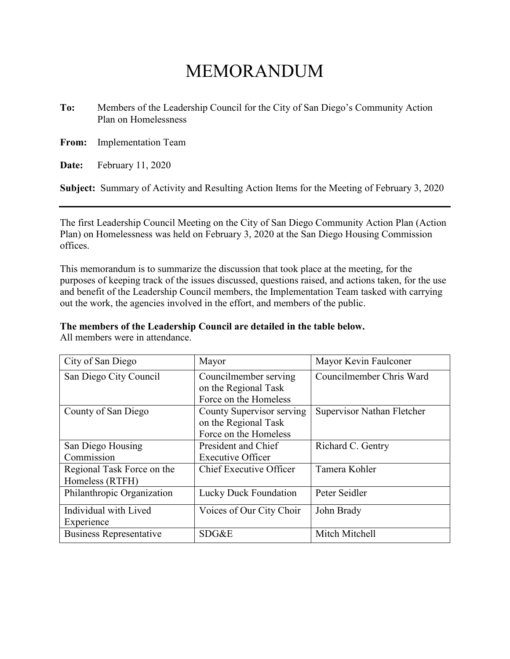## MEMORANDUM

**To:** Members of the Leadership Council for the City of San Diego's Community Action Plan on Homelessness

**From:** Implementation Team

**Date:** February 11, 2020

**Subject:** Summary of Activity and Resulting Action Items for the Meeting of February 3, 2020

The first Leadership Council Meeting on the City of San Diego Community Action Plan (Action Plan) on Homelessness was held on February 3, 2020 at the San Diego Housing Commission offices.

This memorandum is to summarize the discussion that took place at the meeting, for the purposes of keeping track of the issues discussed, questions raised, and actions taken, for the use and benefit of the Leadership Council members, the Implementation Team tasked with carrying out the work, the agencies involved in the effort, and members of the public.

### **The members of the Leadership Council are detailed in the table below.**

All members were in attendance.

| City of San Diego              | Mayor                                         | Mayor Kevin Faulconer      |
|--------------------------------|-----------------------------------------------|----------------------------|
| San Diego City Council         | Councilmember serving<br>on the Regional Task | Councilmember Chris Ward   |
|                                | Force on the Homeless                         |                            |
| County of San Diego            | County Supervisor serving                     | Supervisor Nathan Fletcher |
|                                | on the Regional Task                          |                            |
|                                | Force on the Homeless                         |                            |
| San Diego Housing              | President and Chief                           | Richard C. Gentry          |
| Commission                     | <b>Executive Officer</b>                      |                            |
| Regional Task Force on the     | Chief Executive Officer                       | Tamera Kohler              |
| Homeless (RTFH)                |                                               |                            |
| Philanthropic Organization     | Lucky Duck Foundation                         | Peter Seidler              |
| Individual with Lived          | Voices of Our City Choir                      | John Brady                 |
| Experience                     |                                               |                            |
| <b>Business Representative</b> | SDG&E                                         | Mitch Mitchell             |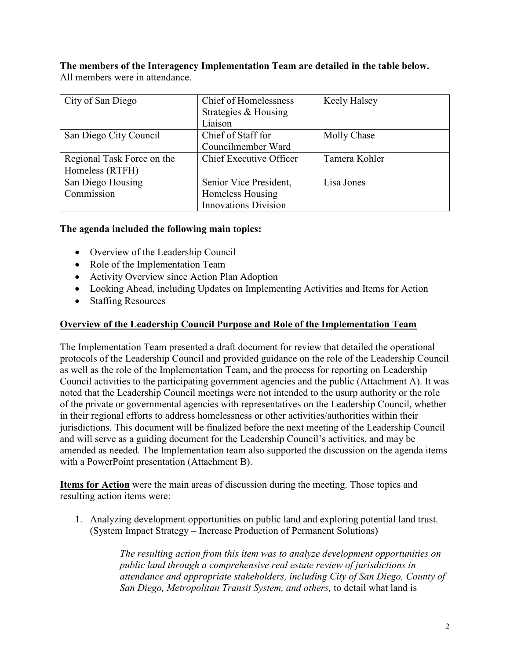**The members of the Interagency Implementation Team are detailed in the table below.** All members were in attendance.

| City of San Diego          | Chief of Homelessness       | Keely Halsey  |
|----------------------------|-----------------------------|---------------|
|                            | Strategies & Housing        |               |
|                            | Liaison                     |               |
| San Diego City Council     | Chief of Staff for          | Molly Chase   |
|                            | Councilmember Ward          |               |
| Regional Task Force on the | Chief Executive Officer     | Tamera Kohler |
| Homeless (RTFH)            |                             |               |
| San Diego Housing          | Senior Vice President,      | Lisa Jones    |
| Commission                 | Homeless Housing            |               |
|                            | <b>Innovations Division</b> |               |

### **The agenda included the following main topics:**

- Overview of the Leadership Council
- Role of the Implementation Team
- Activity Overview since Action Plan Adoption
- Looking Ahead, including Updates on Implementing Activities and Items for Action
- Staffing Resources

### **Overview of the Leadership Council Purpose and Role of the Implementation Team**

The Implementation Team presented a draft document for review that detailed the operational protocols of the Leadership Council and provided guidance on the role of the Leadership Council as well as the role of the Implementation Team, and the process for reporting on Leadership Council activities to the participating government agencies and the public (Attachment A). It was noted that the Leadership Council meetings were not intended to the usurp authority or the role of the private or governmental agencies with representatives on the Leadership Council, whether in their regional efforts to address homelessness or other activities/authorities within their jurisdictions. This document will be finalized before the next meeting of the Leadership Council and will serve as a guiding document for the Leadership Council's activities, and may be amended as needed. The Implementation team also supported the discussion on the agenda items with a PowerPoint presentation (Attachment B).

**Items for Action** were the main areas of discussion during the meeting. Those topics and resulting action items were:

1. Analyzing development opportunities on public land and exploring potential land trust. (System Impact Strategy – Increase Production of Permanent Solutions)

> *The resulting action from this item was to analyze development opportunities on public land through a comprehensive real estate review of jurisdictions in attendance and appropriate stakeholders, including City of San Diego, County of San Diego, Metropolitan Transit System, and others,* to detail what land is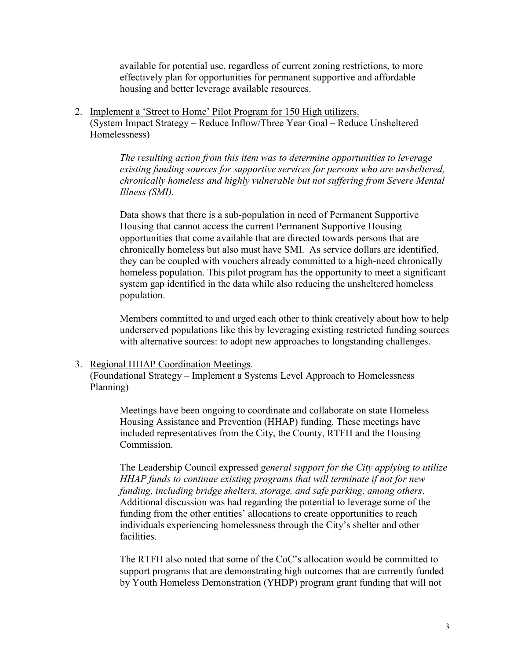available for potential use, regardless of current zoning restrictions, to more effectively plan for opportunities for permanent supportive and affordable housing and better leverage available resources.

2. Implement a 'Street to Home' Pilot Program for 150 High utilizers. (System Impact Strategy – Reduce Inflow/Three Year Goal – Reduce Unsheltered Homelessness)

> *The resulting action from this item was to determine opportunities to leverage existing funding sources for supportive services for persons who are unsheltered, chronically homeless and highly vulnerable but not suffering from Severe Mental Illness (SMI).*

> Data shows that there is a sub-population in need of Permanent Supportive Housing that cannot access the current Permanent Supportive Housing opportunities that come available that are directed towards persons that are chronically homeless but also must have SMI. As service dollars are identified, they can be coupled with vouchers already committed to a high-need chronically homeless population. This pilot program has the opportunity to meet a significant system gap identified in the data while also reducing the unsheltered homeless population.

> Members committed to and urged each other to think creatively about how to help underserved populations like this by leveraging existing restricted funding sources with alternative sources: to adopt new approaches to longstanding challenges.

### 3. Regional HHAP Coordination Meetings.

(Foundational Strategy – Implement a Systems Level Approach to Homelessness Planning)

Meetings have been ongoing to coordinate and collaborate on state Homeless Housing Assistance and Prevention (HHAP) funding. These meetings have included representatives from the City, the County, RTFH and the Housing Commission.

The Leadership Council expressed *general support for the City applying to utilize HHAP funds to continue existing programs that will terminate if not for new funding, including bridge shelters, storage, and safe parking, among others*. Additional discussion was had regarding the potential to leverage some of the funding from the other entities' allocations to create opportunities to reach individuals experiencing homelessness through the City's shelter and other facilities.

The RTFH also noted that some of the CoC's allocation would be committed to support programs that are demonstrating high outcomes that are currently funded by Youth Homeless Demonstration (YHDP) program grant funding that will not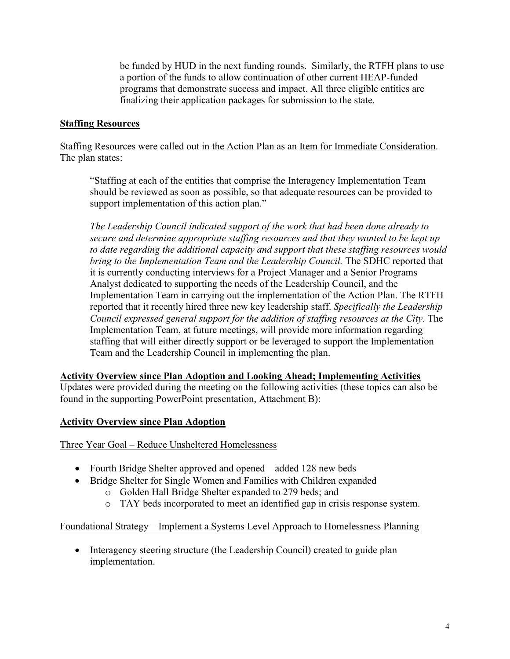be funded by HUD in the next funding rounds. Similarly, the RTFH plans to use a portion of the funds to allow continuation of other current HEAP-funded programs that demonstrate success and impact. All three eligible entities are finalizing their application packages for submission to the state.

### **Staffing Resources**

Staffing Resources were called out in the Action Plan as an Item for Immediate Consideration. The plan states:

"Staffing at each of the entities that comprise the Interagency Implementation Team should be reviewed as soon as possible, so that adequate resources can be provided to support implementation of this action plan."

*The Leadership Council indicated support of the work that had been done already to secure and determine appropriate staffing resources and that they wanted to be kept up to date regarding the additional capacity and support that these staffing resources would bring to the Implementation Team and the Leadership Council.* The SDHC reported that it is currently conducting interviews for a Project Manager and a Senior Programs Analyst dedicated to supporting the needs of the Leadership Council, and the Implementation Team in carrying out the implementation of the Action Plan. The RTFH reported that it recently hired three new key leadership staff. *Specifically the Leadership Council expressed general support for the addition of staffing resources at the City.* The Implementation Team, at future meetings, will provide more information regarding staffing that will either directly support or be leveraged to support the Implementation Team and the Leadership Council in implementing the plan.

### **Activity Overview since Plan Adoption and Looking Ahead; Implementing Activities**

Updates were provided during the meeting on the following activities (these topics can also be found in the supporting PowerPoint presentation, Attachment B):

### **Activity Overview since Plan Adoption**

Three Year Goal – Reduce Unsheltered Homelessness

- Fourth Bridge Shelter approved and opened added 128 new beds
- Bridge Shelter for Single Women and Families with Children expanded
	- o Golden Hall Bridge Shelter expanded to 279 beds; and
	- o TAY beds incorporated to meet an identified gap in crisis response system.

### Foundational Strategy – Implement a Systems Level Approach to Homelessness Planning

• Interagency steering structure (the Leadership Council) created to guide plan implementation.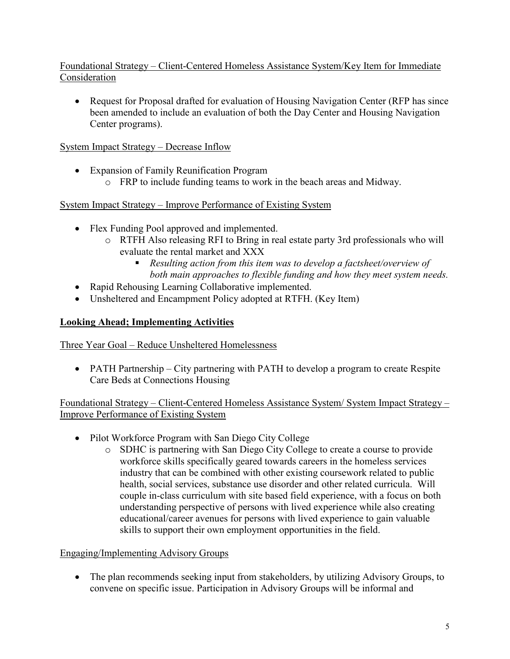### Foundational Strategy – Client-Centered Homeless Assistance System/Key Item for Immediate Consideration

• Request for Proposal drafted for evaluation of Housing Navigation Center (RFP has since been amended to include an evaluation of both the Day Center and Housing Navigation Center programs).

### System Impact Strategy – Decrease Inflow

- Expansion of Family Reunification Program
	- o FRP to include funding teams to work in the beach areas and Midway.

### System Impact Strategy – Improve Performance of Existing System

- Flex Funding Pool approved and implemented.
	- o RTFH Also releasing RFI to Bring in real estate party 3rd professionals who will evaluate the rental market and XXX
		- *Resulting action from this item was to develop a factsheet/overview of both main approaches to flexible funding and how they meet system needs.*
- Rapid Rehousing Learning Collaborative implemented.
- Unsheltered and Encampment Policy adopted at RTFH. (Key Item)

### **Looking Ahead; Implementing Activities**

Three Year Goal – Reduce Unsheltered Homelessness

• PATH Partnership – City partnering with PATH to develop a program to create Respite Care Beds at Connections Housing

Foundational Strategy – Client-Centered Homeless Assistance System/ System Impact Strategy – Improve Performance of Existing System

- Pilot Workforce Program with San Diego City College
	- o SDHC is partnering with San Diego City College to create a course to provide workforce skills specifically geared towards careers in the homeless services industry that can be combined with other existing coursework related to public health, social services, substance use disorder and other related curricula. Will couple in-class curriculum with site based field experience, with a focus on both understanding perspective of persons with lived experience while also creating educational/career avenues for persons with lived experience to gain valuable skills to support their own employment opportunities in the field.

### Engaging/Implementing Advisory Groups

• The plan recommends seeking input from stakeholders, by utilizing Advisory Groups, to convene on specific issue. Participation in Advisory Groups will be informal and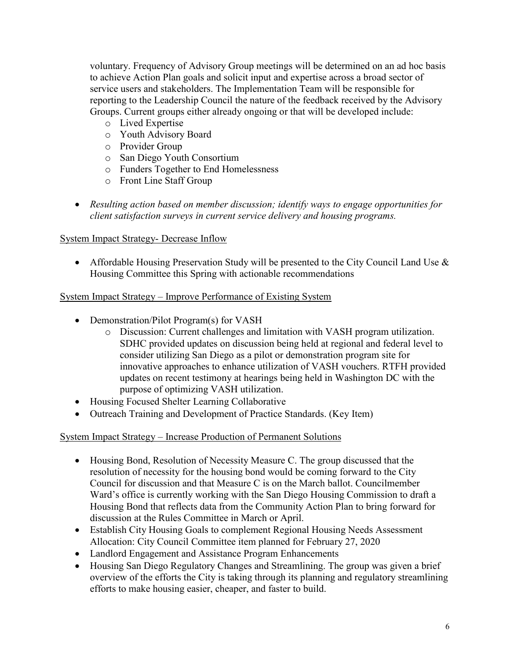voluntary. Frequency of Advisory Group meetings will be determined on an ad hoc basis to achieve Action Plan goals and solicit input and expertise across a broad sector of service users and stakeholders. The Implementation Team will be responsible for reporting to the Leadership Council the nature of the feedback received by the Advisory Groups. Current groups either already ongoing or that will be developed include:

- o Lived Expertise
- o Youth Advisory Board
- o Provider Group
- o San Diego Youth Consortium
- o Funders Together to End Homelessness
- o Front Line Staff Group
- *Resulting action based on member discussion; identify ways to engage opportunities for client satisfaction surveys in current service delivery and housing programs.*

### System Impact Strategy- Decrease Inflow

• Affordable Housing Preservation Study will be presented to the City Council Land Use & Housing Committee this Spring with actionable recommendations

### System Impact Strategy – Improve Performance of Existing System

- Demonstration/Pilot Program(s) for VASH
	- o Discussion: Current challenges and limitation with VASH program utilization. SDHC provided updates on discussion being held at regional and federal level to consider utilizing San Diego as a pilot or demonstration program site for innovative approaches to enhance utilization of VASH vouchers. RTFH provided updates on recent testimony at hearings being held in Washington DC with the purpose of optimizing VASH utilization.
- Housing Focused Shelter Learning Collaborative
- Outreach Training and Development of Practice Standards. (Key Item)

### System Impact Strategy – Increase Production of Permanent Solutions

- Housing Bond, Resolution of Necessity Measure C. The group discussed that the resolution of necessity for the housing bond would be coming forward to the City Council for discussion and that Measure C is on the March ballot. Councilmember Ward's office is currently working with the San Diego Housing Commission to draft a Housing Bond that reflects data from the Community Action Plan to bring forward for discussion at the Rules Committee in March or April.
- Establish City Housing Goals to complement Regional Housing Needs Assessment Allocation: City Council Committee item planned for February 27, 2020
- Landlord Engagement and Assistance Program Enhancements
- Housing San Diego Regulatory Changes and Streamlining. The group was given a brief overview of the efforts the City is taking through its planning and regulatory streamlining efforts to make housing easier, cheaper, and faster to build.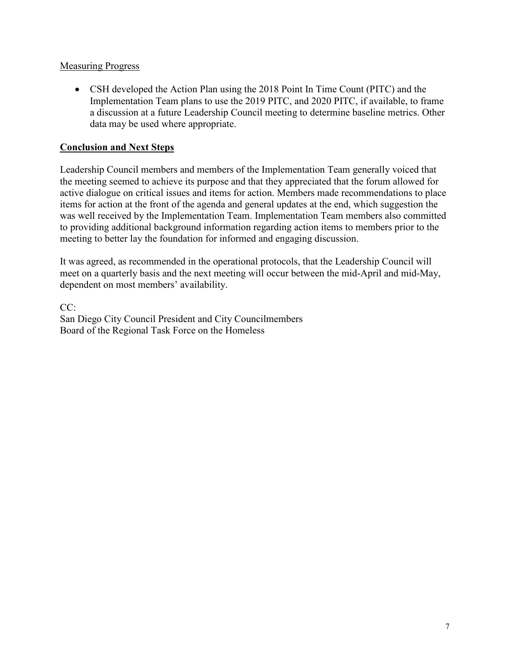### **Measuring Progress**

• CSH developed the Action Plan using the 2018 Point In Time Count (PITC) and the Implementation Team plans to use the 2019 PITC, and 2020 PITC, if available, to frame a discussion at a future Leadership Council meeting to determine baseline metrics. Other data may be used where appropriate.

### **Conclusion and Next Steps**

Leadership Council members and members of the Implementation Team generally voiced that the meeting seemed to achieve its purpose and that they appreciated that the forum allowed for active dialogue on critical issues and items for action. Members made recommendations to place items for action at the front of the agenda and general updates at the end, which suggestion the was well received by the Implementation Team. Implementation Team members also committed to providing additional background information regarding action items to members prior to the meeting to better lay the foundation for informed and engaging discussion.

It was agreed, as recommended in the operational protocols, that the Leadership Council will meet on a quarterly basis and the next meeting will occur between the mid-April and mid-May, dependent on most members' availability.

CC: San Diego City Council President and City Councilmembers Board of the Regional Task Force on the Homeless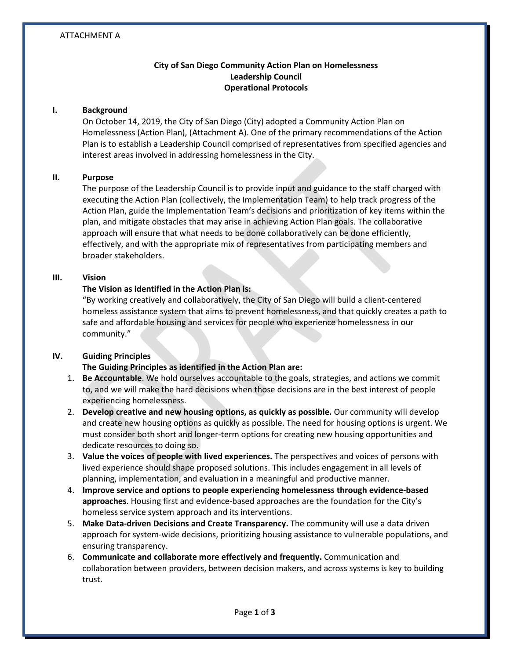### ATTACHMENT A

### **City of San Diego Community Action Plan on Homelessness Leadership Council Operational Protocols**

#### **I. Background**

On October 14, 2019, the City of San Diego (City) adopted a Community Action Plan on Homelessness (Action Plan), (Attachment A). One of the primary recommendations of the Action Plan is to establish a Leadership Council comprised of representatives from specified agencies and interest areas involved in addressing homelessness in the City.

### **II. Purpose**

The purpose of the Leadership Council is to provide input and guidance to the staff charged with executing the Action Plan (collectively, the Implementation Team) to help track progress of the Action Plan, guide the Implementation Team's decisions and prioritization of key items within the plan, and mitigate obstacles that may arise in achieving Action Plan goals. The collaborative approach will ensure that what needs to be done collaboratively can be done efficiently, effectively, and with the appropriate mix of representatives from participating members and broader stakeholders.

#### **III. Vision**

### **The Vision as identified in the Action Plan is:**

"By working creatively and collaboratively, the City of San Diego will build a client-centered homeless assistance system that aims to prevent homelessness, and that quickly creates a path to safe and affordable housing and services for people who experience homelessness in our community."

### **IV. Guiding Principles**

### **The Guiding Principles as identified in the Action Plan are:**

- 1. **Be Accountable**. We hold ourselves accountable to the goals, strategies, and actions we commit to, and we will make the hard decisions when those decisions are in the best interest of people experiencing homelessness.
- 2. **Develop creative and new housing options, as quickly as possible.** Our community will develop and create new housing options as quickly as possible. The need for housing options is urgent. We must consider both short and longer-term options for creating new housing opportunities and dedicate resources to doing so.
- 3. **Value the voices of people with lived experiences.** The perspectives and voices of persons with lived experience should shape proposed solutions. This includes engagement in all levels of planning, implementation, and evaluation in a meaningful and productive manner.
- 4. **Improve service and options to people experiencing homelessness through evidence-based approaches**. Housing first and evidence-based approaches are the foundation for the City's homeless service system approach and its interventions.
- 5. **Make Data-driven Decisions and Create Transparency.** The community will use a data driven approach for system-wide decisions, prioritizing housing assistance to vulnerable populations, and ensuring transparency.
- 6. **Communicate and collaborate more effectively and frequently.** Communication and collaboration between providers, between decision makers, and across systems is key to building trust.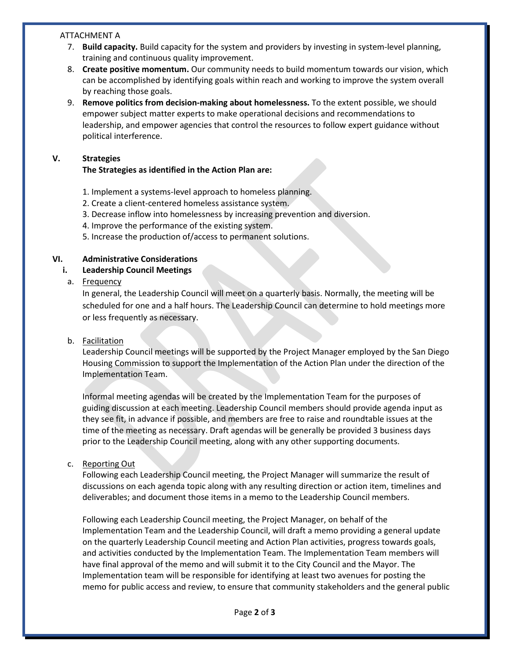#### ATTACHMENT A

- 7. **Build capacity.** Build capacity for the system and providers by investing in system-level planning, training and continuous quality improvement.
- 8. **Create positive momentum.** Our community needs to build momentum towards our vision, which can be accomplished by identifying goals within reach and working to improve the system overall by reaching those goals.
- 9. **Remove politics from decision-making about homelessness.** To the extent possible, we should empower subject matter experts to make operational decisions and recommendations to leadership, and empower agencies that control the resources to follow expert guidance without political interference.

### **V. Strategies**

### **The Strategies as identified in the Action Plan are:**

- 1. Implement a systems-level approach to homeless planning.
- 2. Create a client-centered homeless assistance system.
- 3. Decrease inflow into homelessness by increasing prevention and diversion.
- 4. Improve the performance of the existing system.

5. Increase the production of/access to permanent solutions.

### **VI. Administrative Considerations**

**i. Leadership Council Meetings**

### a. Frequency

In general, the Leadership Council will meet on a quarterly basis. Normally, the meeting will be scheduled for one and a half hours. The Leadership Council can determine to hold meetings more or less frequently as necessary.

### b. Facilitation

Leadership Council meetings will be supported by the Project Manager employed by the San Diego Housing Commission to support the Implementation of the Action Plan under the direction of the Implementation Team.

Informal meeting agendas will be created by the Implementation Team for the purposes of guiding discussion at each meeting. Leadership Council members should provide agenda input as they see fit, in advance if possible, and members are free to raise and roundtable issues at the time of the meeting as necessary. Draft agendas will be generally be provided 3 business days prior to the Leadership Council meeting, along with any other supporting documents.

### c. Reporting Out

Following each Leadership Council meeting, the Project Manager will summarize the result of discussions on each agenda topic along with any resulting direction or action item, timelines and deliverables; and document those items in a memo to the Leadership Council members.

Following each Leadership Council meeting, the Project Manager, on behalf of the Implementation Team and the Leadership Council, will draft a memo providing a general update on the quarterly Leadership Council meeting and Action Plan activities, progress towards goals, and activities conducted by the Implementation Team. The Implementation Team members will have final approval of the memo and will submit it to the City Council and the Mayor. The Implementation team will be responsible for identifying at least two avenues for posting the memo for public access and review, to ensure that community stakeholders and the general public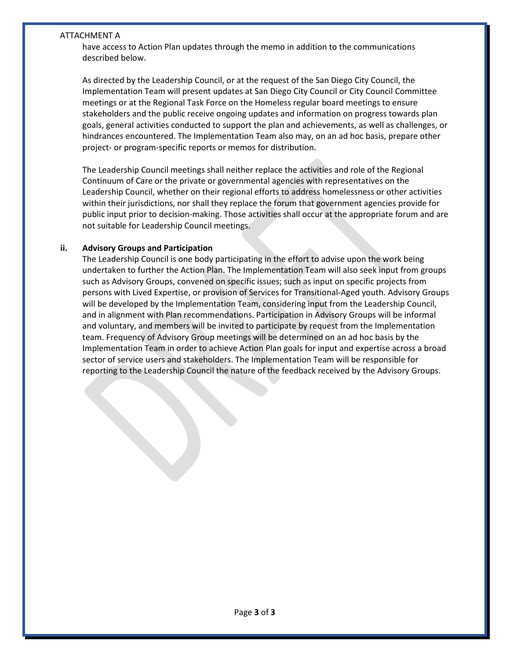#### ATTACHMENT A

have access to Action Plan updates through the memo in addition to the communications described below.

As directed by the Leadership Council, or at the request of the San Diego City Council, the Implementation Team will present updates at San Diego City Council or City Council Committee meetings or at the Regional Task Force on the Homeless regular board meetings to ensure stakeholders and the public receive ongoing updates and information on progress towards plan goals, general activities conducted to support the plan and achievements, as well as challenges, or hindrances encountered. The Implementation Team also may, on an ad hoc basis, prepare other project- or program-specific reports or memos for distribution.

The Leadership Council meetings shall neither replace the activities and role of the Regional Continuum of Care or the private or governmental agencies with representatives on the Leadership Council, whether on their regional efforts to address homelessness or other activities within their jurisdictions, nor shall they replace the forum that government agencies provide for public input prior to decision-making. Those activities shall occur at the appropriate forum and are not suitable for Leadership Council meetings.

### **ii. Advisory Groups and Participation**

The Leadership Council is one body participating in the effort to advise upon the work being undertaken to further the Action Plan. The Implementation Team will also seek input from groups such as Advisory Groups, convened on specific issues; such as input on specific projects from persons with Lived Expertise, or provision of Services for Transitional-Aged youth. Advisory Groups will be developed by the Implementation Team, considering input from the Leadership Council, and in alignment with Plan recommendations. Participation in Advisory Groups will be informal and voluntary, and members will be invited to participate by request from the Implementation team. Frequency of Advisory Group meetings will be determined on an ad hoc basis by the Implementation Team in order to achieve Action Plan goals for input and expertise across a broad sector of service users and stakeholders. The Implementation Team will be responsible for reporting to the Leadership Council the nature of the feedback received by the Advisory Groups.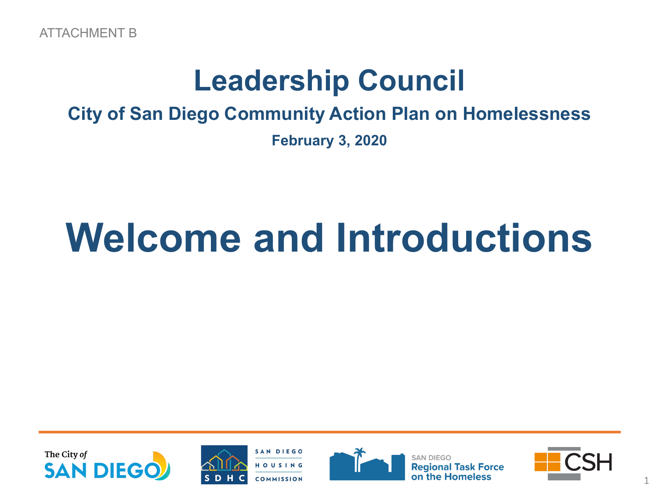## **Leadership Council**

## **City of San Diego Community Action Plan on Homelessness**

**February 3, 2020**

# **Welcome and Introductions**







**Regional** 

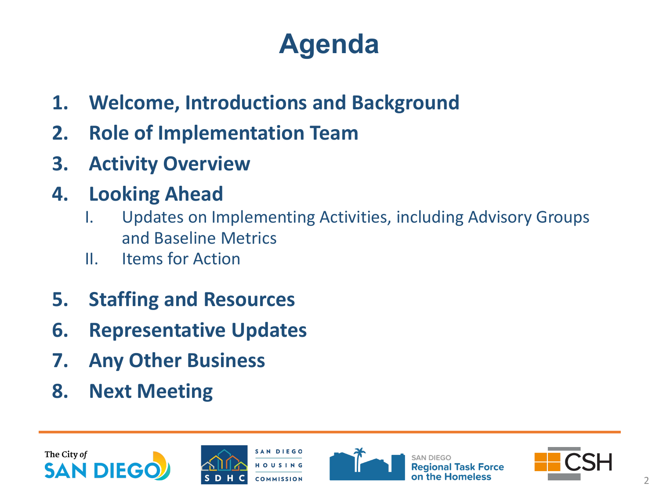## **Agenda**

- **1. Welcome, Introductions and Background**
- **2. Role of Implementation Team**
- **3. Activity Overview**
- **4. Looking Ahead**
	- I. Updates on Implementing Activities, including Advisory Groups and Baseline Metrics
	- II. Items for Action
- **5. Staffing and Resources**
- **6. Representative Updates**
- **7. Any Other Business**
- **8. Next Meeting**





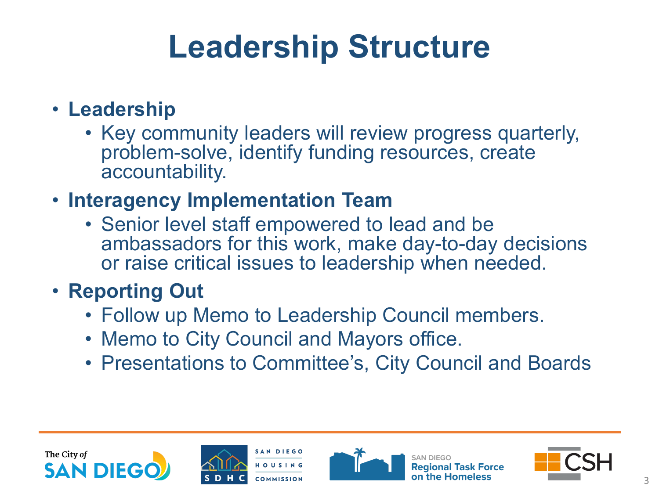# **Leadership Structure**

## • **Leadership**

• Key community leaders will review progress quarterly, problem-solve, identify funding resources, create accountability.

## • **Interagency Implementation Team**

• Senior level staff empowered to lead and be ambassadors for this work, make day-to-day decisions or raise critical issues to leadership when needed.

## • **Reporting Out**

- Follow up Memo to Leadership Council members.
- Memo to City Council and Mayors office.
- Presentations to Committee's, City Council and Boards





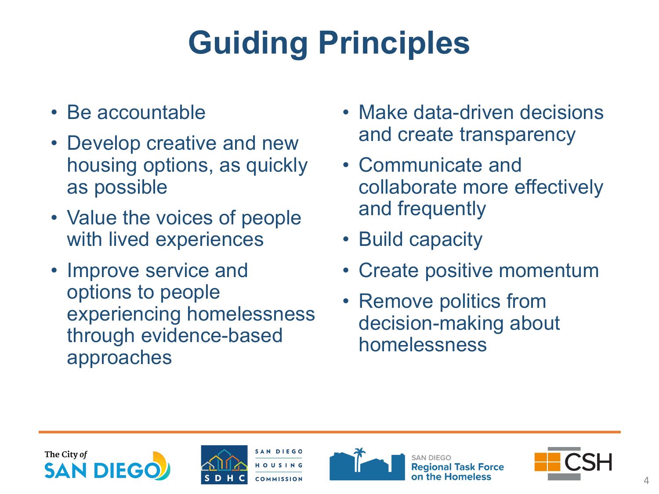# **Guiding Principles**

- Be accountable
- Develop creative and new housing options, as quickly as possible
- Value the voices of people with lived experiences
- Improve service and options to people experiencing homelessness through evidence-based approaches
- Make data-driven decisions and create transparency
- Communicate and collaborate more effectively and frequently
- Build capacity
- Create positive momentum
- Remove politics from decision-making about homelessness







**Regional Task Force** 

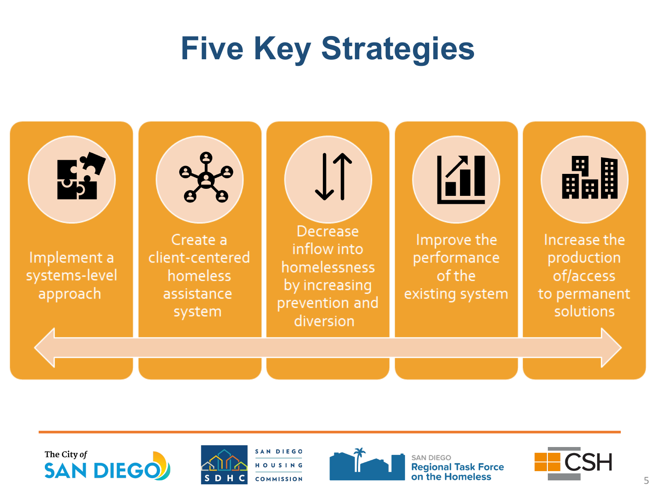# **Five Key Strategies**









**SAN DIEGO Regional Task Force** on the Homeless

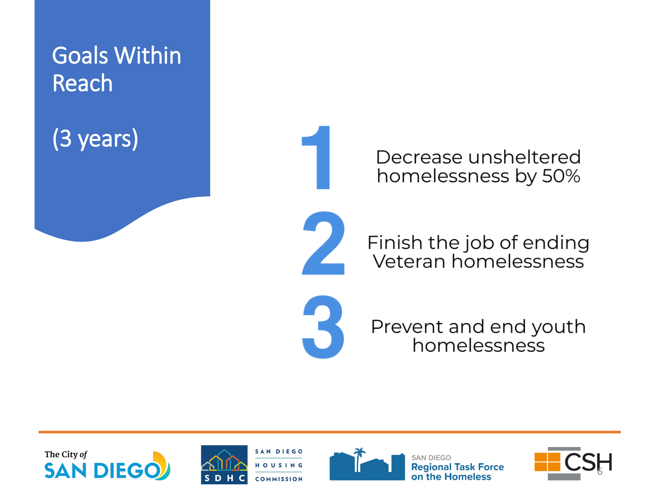

Decrease unsheltered homelessness by 50%

Finish the job of ending Veteran homelessness



Prevent and end youth homelessness







**SAN DIEGO Regional Task Force** on the Homeless

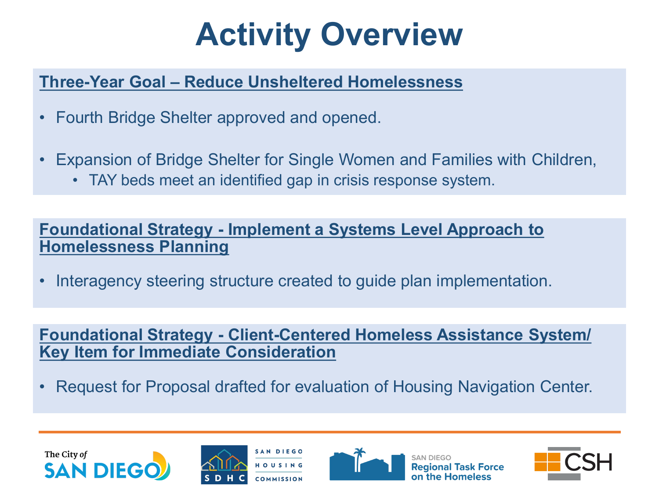# **Activity Overview**

## **Three-Year Goal – Reduce Unsheltered Homelessness**

- Fourth Bridge Shelter approved and opened.
- Expansion of Bridge Shelter for Single Women and Families with Children,
	- TAY beds meet an identified gap in crisis response system.

### **Foundational Strategy - Implement a Systems Level Approach to Homelessness Planning**

• Interagency steering structure created to guide plan implementation.

**Foundational Strategy - Client-Centered Homeless Assistance System/ Key Item for Immediate Consideration**

• Request for Proposal drafted for evaluation of Housing Navigation Center.







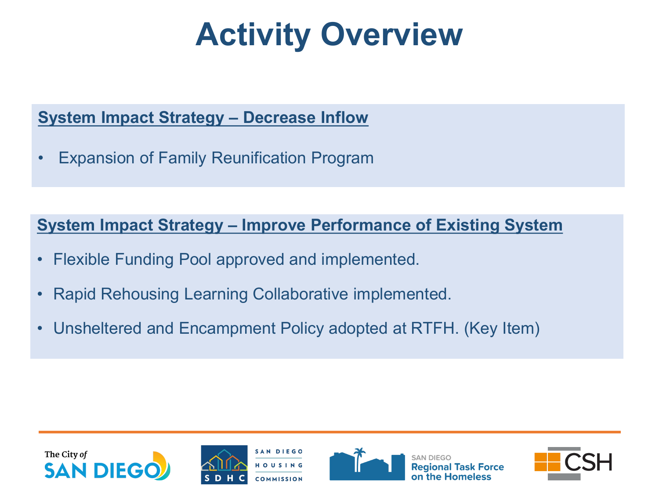# **Activity Overview**

## **System Impact Strategy – Decrease Inflow**

• Expansion of Family Reunification Program

**System Impact Strategy – Improve Performance of Existing System**

- Flexible Funding Pool approved and implemented.
- Rapid Rehousing Learning Collaborative implemented.
- Unsheltered and Encampment Policy adopted at RTFH. (Key Item)

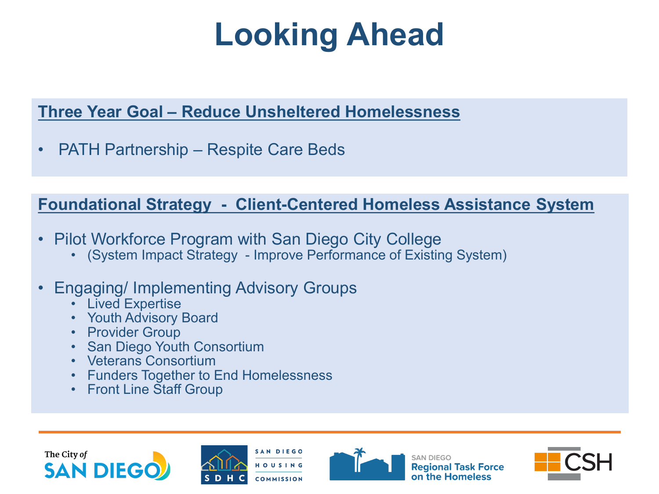# **Looking Ahead**

## **Three Year Goal – Reduce Unsheltered Homelessness**

• PATH Partnership – Respite Care Beds

### **Foundational Strategy - Client-Centered Homeless Assistance System**

- 
- Pilot Workforce Program with San Diego City College (System Impact Strategy Improve Performance of Existing System)

## • Engaging/ Implementing Advisory Groups

- Lived Expertise
- Youth Advisory Board
- **Provider Group**
- **San Diego Youth Consortium**
- Veterans Consortium
- Funders Together to End Homelessness
- Front Line Staff Group







**SAN DIEGO Regional Task Force** on the Homeless

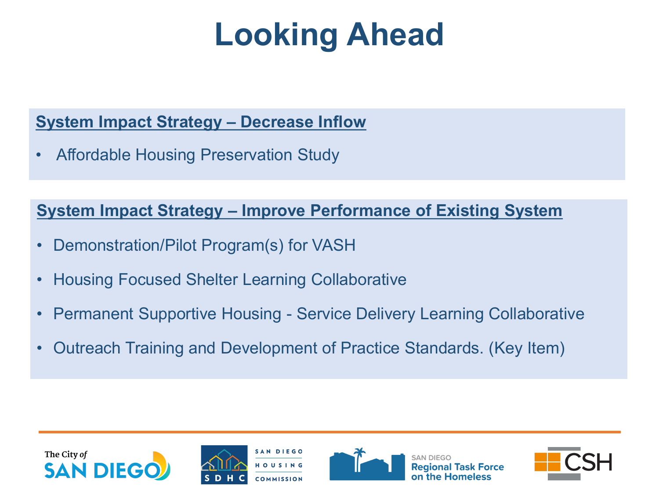# **Looking Ahead**

### **System Impact Strategy – Decrease Inflow**

• Affordable Housing Preservation Study

### **System Impact Strategy – Improve Performance of Existing System**

- Demonstration/Pilot Program(s) for VASH
- Housing Focused Shelter Learning Collaborative
- Permanent Supportive Housing Service Delivery Learning Collaborative
- Outreach Training and Development of Practice Standards. (Key Item)

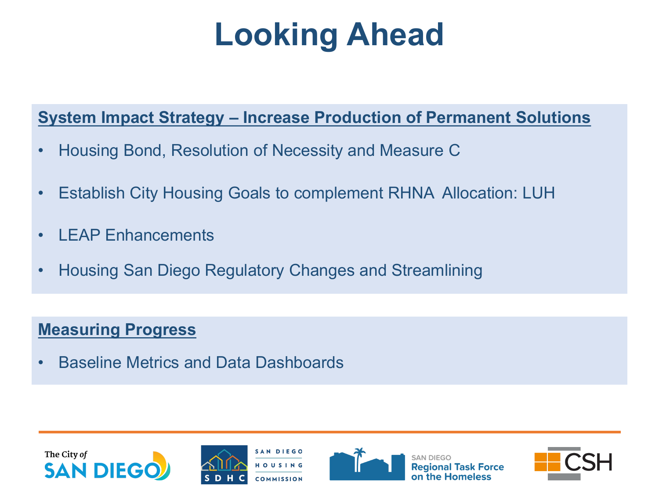# **Looking Ahead**

## **System Impact Strategy – Increase Production of Permanent Solutions**

- Housing Bond, Resolution of Necessity and Measure C
- Establish City Housing Goals to complement RHNA Allocation: LUH
- I FAP Enhancements
- Housing San Diego Regulatory Changes and Streamlining

## **Measuring Progress**

• Baseline Metrics and Data Dashboards





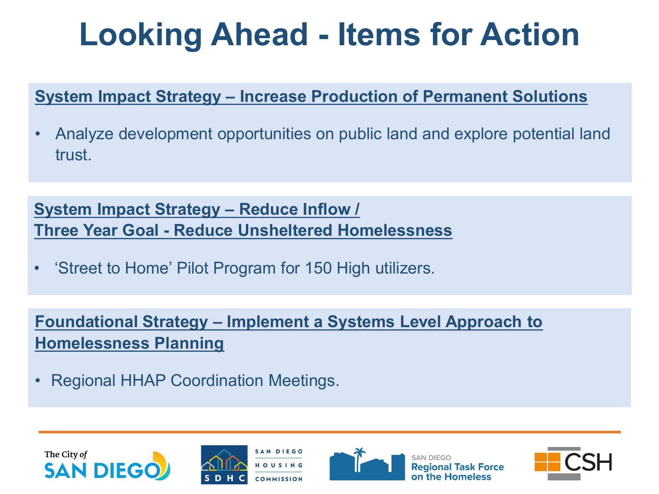# **Looking Ahead - Items for Action**

## **System Impact Strategy – Increase Production of Permanent Solutions**

• Analyze development opportunities on public land and explore potential land trust.

**System Impact Strategy – Reduce Inflow / Three Year Goal - Reduce Unsheltered Homelessness**

• 'Street to Home' Pilot Program for 150 High utilizers.

**Foundational Strategy – Implement a Systems Level Approach to Homelessness Planning**

• Regional HHAP Coordination Meetings.